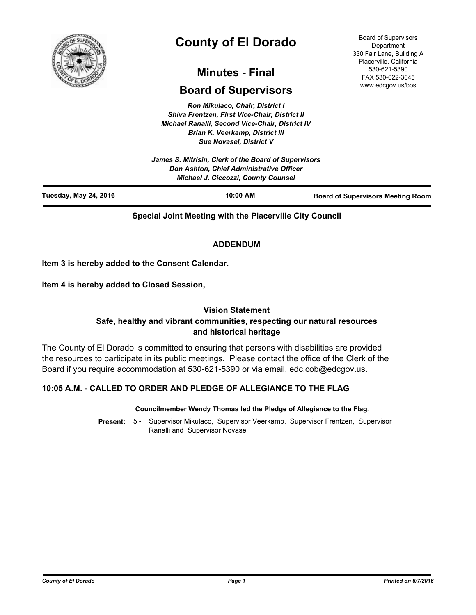

# **County of El Dorado**

## **Minutes - Final**

## **Board of Supervisors**

*Ron Mikulaco, Chair, District I Shiva Frentzen, First Vice-Chair, District II Michael Ranalli, Second Vice-Chair, District IV Brian K. Veerkamp, District III Sue Novasel, District V* 

*James S. Mitrisin, Clerk of the Board of Supervisors Don Ashton, Chief Administrative Officer Michael J. Ciccozzi, County Counsel*

Board of Supervisors **Department** 330 Fair Lane, Building A Placerville, California 530-621-5390 FAX 530-622-3645 www.edcgov.us/bos

| Tuesday, May 24, 2016 | $10:00$ AM | <b>Board of Supervisors Meeting Room</b> |
|-----------------------|------------|------------------------------------------|
|                       |            |                                          |

**Special Joint Meeting with the Placerville City Council**

## **ADDENDUM**

**Item 3 is hereby added to the Consent Calendar.**

**Item 4 is hereby added to Closed Session,**

## **Vision Statement**

## **Safe, healthy and vibrant communities, respecting our natural resources and historical heritage**

The County of El Dorado is committed to ensuring that persons with disabilities are provided the resources to participate in its public meetings. Please contact the office of the Clerk of the Board if you require accommodation at 530-621-5390 or via email, edc.cob@edcgov.us.

## **10:05 A.M. - CALLED TO ORDER AND PLEDGE OF ALLEGIANCE TO THE FLAG**

#### **Councilmember Wendy Thomas led the Pledge of Allegiance to the Flag.**

Present: 5 - Supervisor Mikulaco, Supervisor Veerkamp, Supervisor Frentzen, Supervisor Ranalli and Supervisor Novasel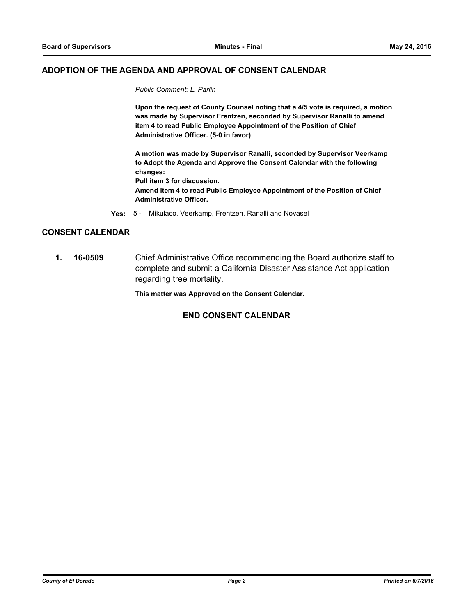#### **ADOPTION OF THE AGENDA AND APPROVAL OF CONSENT CALENDAR**

*Public Comment: L. Parlin*

**Upon the request of County Counsel noting that a 4/5 vote is required, a motion was made by Supervisor Frentzen, seconded by Supervisor Ranalli to amend item 4 to read Public Employee Appointment of the Position of Chief Administrative Officer. (5-0 in favor)**

**A motion was made by Supervisor Ranalli, seconded by Supervisor Veerkamp to Adopt the Agenda and Approve the Consent Calendar with the following changes: Pull item 3 for discussion. Amend item 4 to read Public Employee Appointment of the Position of Chief Administrative Officer.**

**Yes:** 5 - Mikulaco, Veerkamp, Frentzen, Ranalli and Novasel

#### **CONSENT CALENDAR**

**1. 16-0509** Chief Administrative Office recommending the Board authorize staff to complete and submit a California Disaster Assistance Act application regarding tree mortality.

**This matter was Approved on the Consent Calendar.**

#### **END CONSENT CALENDAR**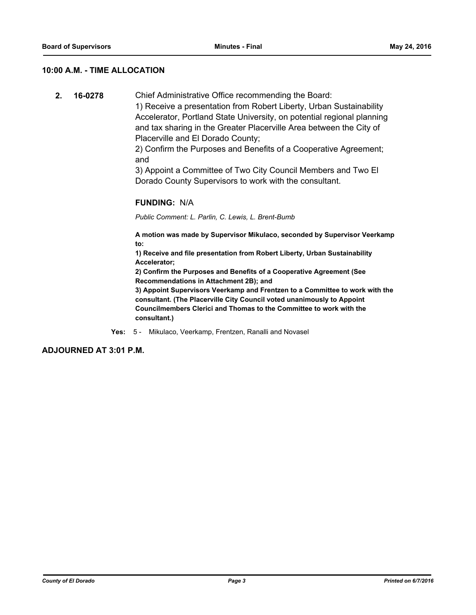#### **10:00 A.M. - TIME ALLOCATION**

**2. 16-0278** Chief Administrative Office recommending the Board:

1) Receive a presentation from Robert Liberty, Urban Sustainability Accelerator, Portland State University, on potential regional planning and tax sharing in the Greater Placerville Area between the City of Placerville and El Dorado County;

2) Confirm the Purposes and Benefits of a Cooperative Agreement; and

3) Appoint a Committee of Two City Council Members and Two El Dorado County Supervisors to work with the consultant.

#### **FUNDING:** N/A

*Public Comment: L. Parlin, C. Lewis, L. Brent-Bumb*

**A motion was made by Supervisor Mikulaco, seconded by Supervisor Veerkamp to:**

**1) Receive and file presentation from Robert Liberty, Urban Sustainability Accelerator;**

**2) Confirm the Purposes and Benefits of a Cooperative Agreement (See Recommendations in Attachment 2B); and**

**3) Appoint Supervisors Veerkamp and Frentzen to a Committee to work with the consultant. (The Placerville City Council voted unanimously to Appoint Councilmembers Clerici and Thomas to the Committee to work with the consultant.)**

**Yes:** 5 - Mikulaco, Veerkamp, Frentzen, Ranalli and Novasel

**ADJOURNED AT 3:01 P.M.**